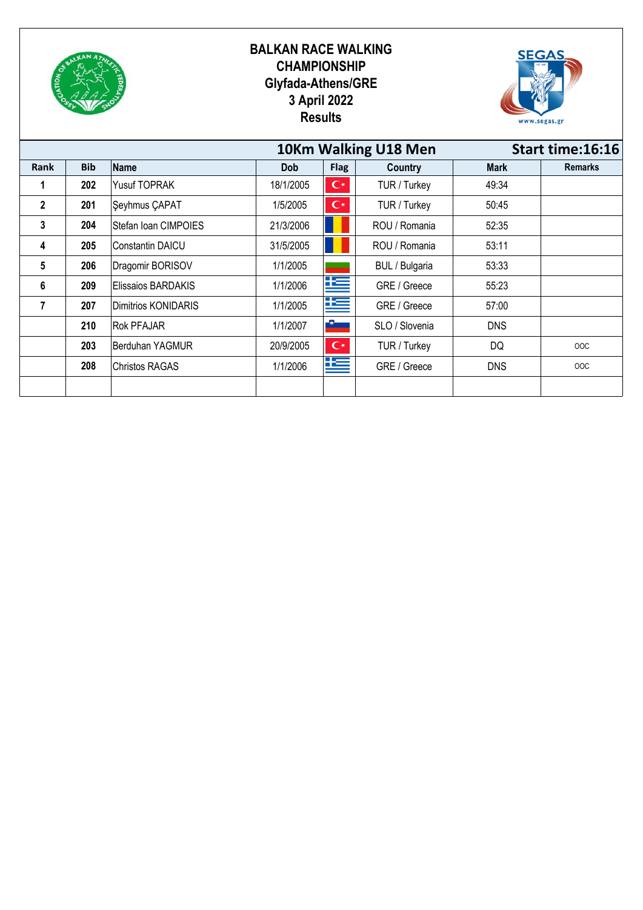



|                |            |                      | 10Km Walking U18 Men |             | <b>Start time:16:16</b> |             |                |
|----------------|------------|----------------------|----------------------|-------------|-------------------------|-------------|----------------|
| Rank           | <b>Bib</b> | <b>Name</b>          | <b>Dob</b>           | <b>Flag</b> | Country                 | <b>Mark</b> | <b>Remarks</b> |
|                | 202        | Yusuf TOPRAK         | 18/1/2005            | $C^*$       | TUR / Turkey            | 49:34       |                |
| $\overline{2}$ | 201        | Seyhmus CAPAT        | 1/5/2005             | $C^*$       | TUR / Turkey            | 50:45       |                |
| 3              | 204        | Stefan Ioan CIMPOIES | 21/3/2006            |             | ROU / Romania           | 52:35       |                |
| 4              | 205        | Constantin DAICU     | 31/5/2005            |             | ROU / Romania           | 53:11       |                |
| 5              | 206        | Dragomir BORISOV     | 1/1/2005             |             | BUL / Bulgaria          | 53:33       |                |
| 6              | 209        | Elissaios BARDAKIS   | 1/1/2006             | E           | GRE / Greece            | 55:23       |                |
| 7              | 207        | Dimitrios KONIDARIS  | 1/1/2005             | 里           | GRE / Greece            | 57:00       |                |
|                | 210        | <b>Rok PFAJAR</b>    | 1/1/2007             |             | SLO / Slovenia          | <b>DNS</b>  |                |
|                | 203        | Berduhan YAGMUR      | 20/9/2005            | $C^*$       | TUR / Turkey            | DQ          | <b>OOC</b>     |
|                | 208        | Christos RAGAS       | 1/1/2006             | E           | GRE / Greece            | <b>DNS</b>  | <b>OOC</b>     |
|                |            |                      |                      |             |                         |             |                |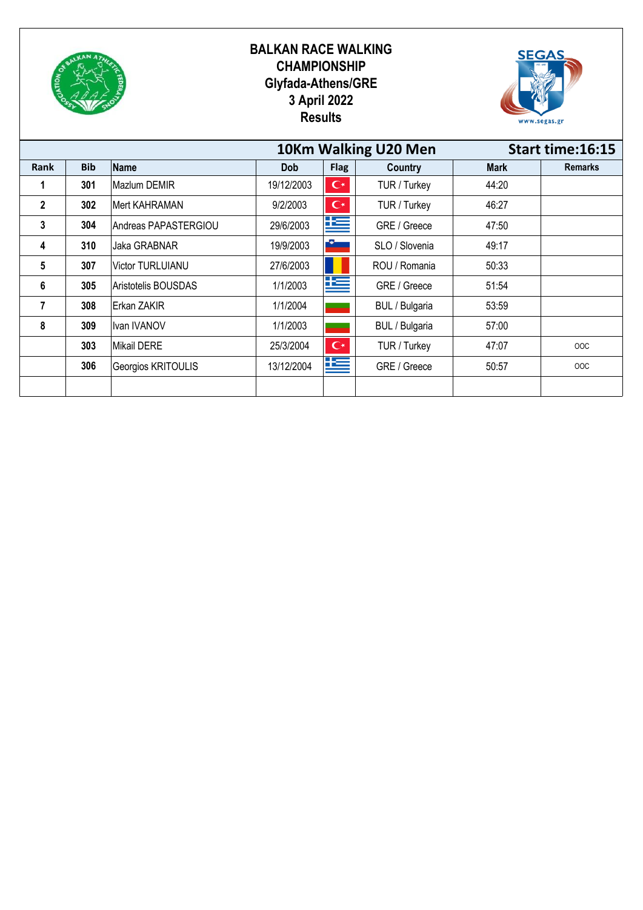



|                |            |                      |            | 10Km Walking U20 Men |                | <b>Start time:16:15</b> |                |  |  |  |
|----------------|------------|----------------------|------------|----------------------|----------------|-------------------------|----------------|--|--|--|
| <b>Rank</b>    | <b>Bib</b> | Name                 | <b>Dob</b> | <b>Flag</b>          | Country        | <b>Mark</b>             | <b>Remarks</b> |  |  |  |
|                | 301        | Mazlum DEMIR         | 19/12/2003 | $C^*$                | TUR / Turkey   | 44:20                   |                |  |  |  |
| $\overline{2}$ | 302        | Mert KAHRAMAN        | 9/2/2003   | $C^*$                | TUR / Turkey   | 46:27                   |                |  |  |  |
| 3              | 304        | Andreas PAPASTERGIOU | 29/6/2003  | 些                    | GRE / Greece   | 47:50                   |                |  |  |  |
| 4              | 310        | Jaka GRABNAR         | 19/9/2003  | -6                   | SLO / Slovenia | 49:17                   |                |  |  |  |
| 5              | 307        | Victor TURLUIANU     | 27/6/2003  |                      | ROU / Romania  | 50:33                   |                |  |  |  |
| 6              | 305        | Aristotelis BOUSDAS  | 1/1/2003   | 挂                    | GRE / Greece   | 51:54                   |                |  |  |  |
| 7              | 308        | Erkan ZAKIR          | 1/1/2004   |                      | BUL / Bulgaria | 53:59                   |                |  |  |  |
| 8              | 309        | Ivan IVANOV          | 1/1/2003   |                      | BUL / Bulgaria | 57:00                   |                |  |  |  |
|                | 303        | <b>Mikail DERE</b>   | 25/3/2004  | $\mathbb{C}^*$       | TUR / Turkey   | 47:07                   | <b>OOC</b>     |  |  |  |
|                | 306        | Georgios KRITOULIS   | 13/12/2004 | E                    | GRE / Greece   | 50:57                   | <b>OOC</b>     |  |  |  |
|                |            |                      |            |                      |                |                         |                |  |  |  |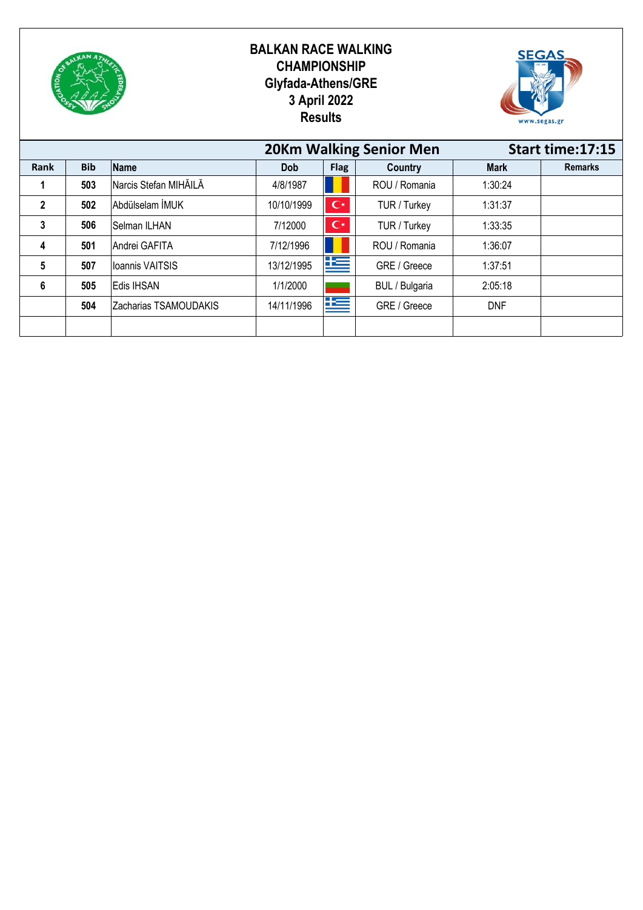



|                |            |                       |            |                    | <b>20Km Walking Senior Men</b> |             | Start time: 17:15 |  |  |  |  |
|----------------|------------|-----------------------|------------|--------------------|--------------------------------|-------------|-------------------|--|--|--|--|
| Rank           | <b>Bib</b> | Name                  | <b>Dob</b> | <b>Flag</b>        | Country                        | <b>Mark</b> | <b>Remarks</b>    |  |  |  |  |
|                | 503        | Narcis Stefan MIHĂILĂ | 4/8/1987   |                    | ROU / Romania                  | 1:30:24     |                   |  |  |  |  |
| $\overline{2}$ | 502        | Abdülselam İMUK       | 10/10/1999 | $\mathbb{C}^*$     | TUR / Turkey                   | 1:31:37     |                   |  |  |  |  |
| 3              | 506        | Selman ILHAN          | 7/12000    | $\mathbb{C}^\star$ | TUR / Turkey                   | 1:33:35     |                   |  |  |  |  |
| 4              | 501        | Andrei GAFITA         | 7/12/1996  |                    | ROU / Romania                  | 1:36:07     |                   |  |  |  |  |
| 5              | 507        | Ioannis VAITSIS       | 13/12/1995 | E                  | GRE / Greece                   | 1:37:51     |                   |  |  |  |  |
| 6              | 505        | Edis IHSAN            | 1/1/2000   |                    | <b>BUL / Bulgaria</b>          | 2:05:18     |                   |  |  |  |  |
|                | 504        | Zacharias TSAMOUDAKIS | 14/11/1996 | 坚                  | GRE / Greece                   | <b>DNF</b>  |                   |  |  |  |  |
|                |            |                       |            |                    |                                |             |                   |  |  |  |  |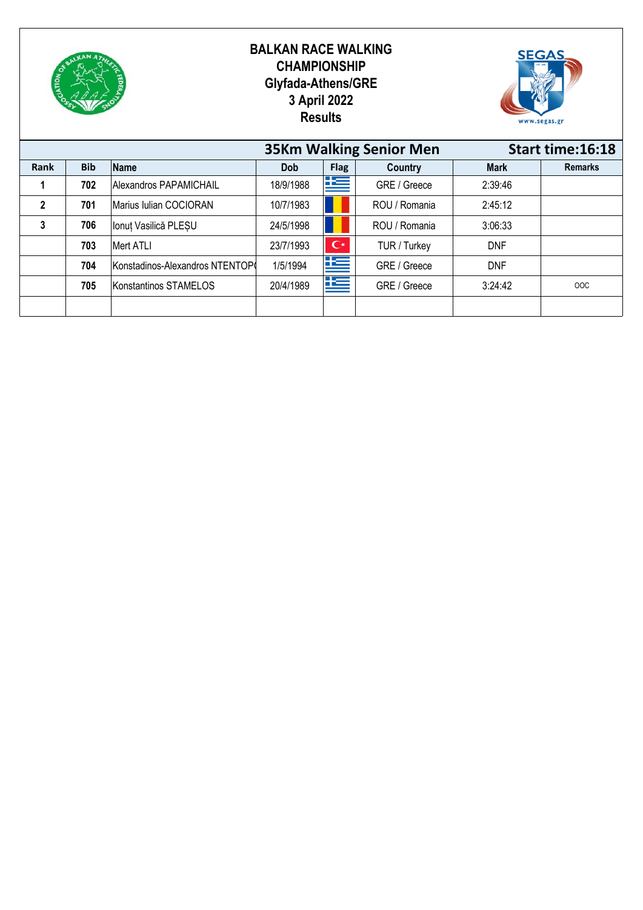



|      |            |                                |            |                | <b>35Km Walking Senior Men</b> |                | Start time:16:18 |  |  |  |  |
|------|------------|--------------------------------|------------|----------------|--------------------------------|----------------|------------------|--|--|--|--|
| Rank | <b>Bib</b> | Name                           | <b>Dob</b> | Country        | <b>Mark</b>                    | <b>Remarks</b> |                  |  |  |  |  |
|      | 702        | Alexandros PAPAMICHAIL         | 18/9/1988  | 哇              | GRE / Greece                   | 2:39:46        |                  |  |  |  |  |
| 2    | 701        | Marius Iulian COCIORAN         | 10/7/1983  |                | ROU / Romania                  | 2:45:12        |                  |  |  |  |  |
| 3    | 706        | Ionut Vasilică PLESU           | 24/5/1998  |                | ROU / Romania                  | 3:06:33        |                  |  |  |  |  |
|      | 703        | Mert ATLI                      | 23/7/1993  | $\mathbb{C}^*$ | TUR / Turkey                   | <b>DNF</b>     |                  |  |  |  |  |
|      | 704        | Konstadinos-Alexandros NTENTOP | 1/5/1994   | Ħ              | GRE / Greece                   | <b>DNF</b>     |                  |  |  |  |  |
|      | 705        | Konstantinos STAMELOS          | 20/4/1989  | 垤              | GRE / Greece                   | 3:24:42        | OOC              |  |  |  |  |
|      |            |                                |            |                |                                |                |                  |  |  |  |  |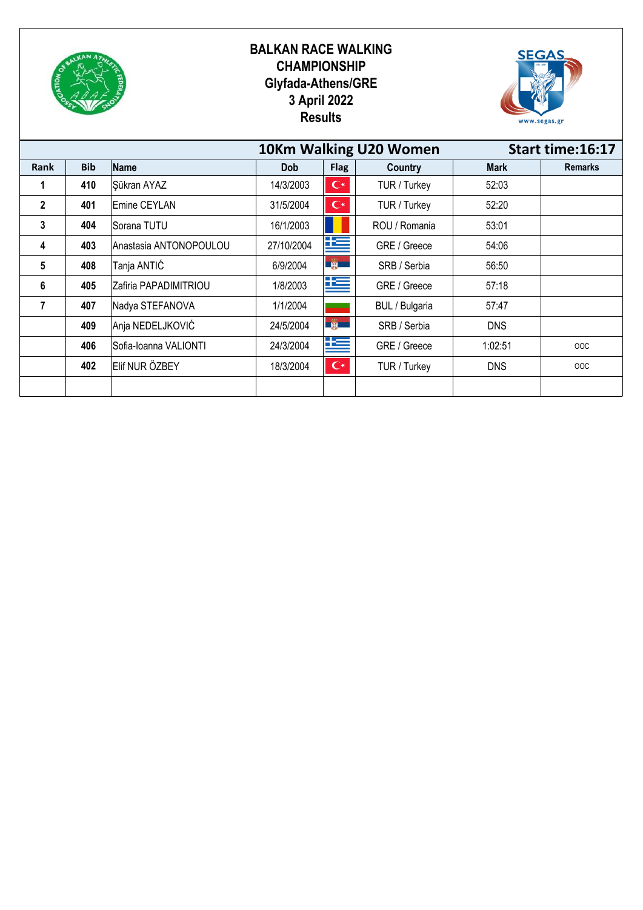



|                |            |                        |            | 10Km Walking U20 Women |                | <b>Start time:16:17</b> |                |  |  |  |
|----------------|------------|------------------------|------------|------------------------|----------------|-------------------------|----------------|--|--|--|
| Rank           | <b>Bib</b> | <b>Name</b>            | <b>Dob</b> | <b>Flag</b>            | <b>Country</b> | <b>Mark</b>             | <b>Remarks</b> |  |  |  |
|                | 410        | Sükran AYAZ            | 14/3/2003  | $C^*$                  | TUR / Turkey   | 52:03                   |                |  |  |  |
| $\overline{2}$ | 401        | Emine CEYLAN           | 31/5/2004  | $C^*$                  | TUR / Turkey   | 52:20                   |                |  |  |  |
| 3              | 404        | Sorana TUTU            | 16/1/2003  |                        | ROU / Romania  | 53:01                   |                |  |  |  |
| 4              | 403        | Anastasia ANTONOPOULOU | 27/10/2004 | Æ                      | GRE / Greece   | 54:06                   |                |  |  |  |
| 5              | 408        | Tanja ANTIĆ            | 6/9/2004   | <b>B</b>               | SRB / Serbia   | 56:50                   |                |  |  |  |
| 6              | 405        | Zafiria PAPADIMITRIOU  | 1/8/2003   | <u>ic </u>             | GRE / Greece   | 57:18                   |                |  |  |  |
| 7              | 407        | Nadya STEFANOVA        | 1/1/2004   |                        | BUL / Bulgaria | 57:47                   |                |  |  |  |
|                | 409        | Anja NEDELJKOVIĆ       | 24/5/2004  | <b>R</b>               | SRB / Serbia   | <b>DNS</b>              |                |  |  |  |
|                | 406        | Sofia-Ioanna VALIONTI  | 24/3/2004  | E                      | GRE / Greece   | 1:02:51                 | <b>OOC</b>     |  |  |  |
|                | 402        | Elif NUR ÖZBEY         | 18/3/2004  | $C^*$                  | TUR / Turkey   | <b>DNS</b>              | <b>OOC</b>     |  |  |  |
|                |            |                        |            |                        |                |                         |                |  |  |  |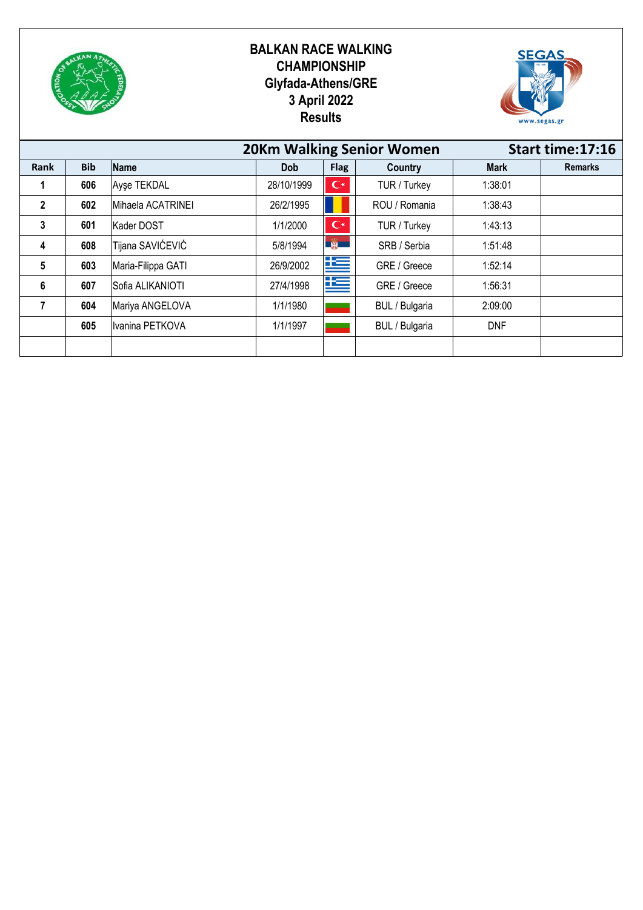



|                |            |                               | <b>20Km Walking Senior Women</b> |                | Start time: 17:16     |             |                |
|----------------|------------|-------------------------------|----------------------------------|----------------|-----------------------|-------------|----------------|
| <b>Rank</b>    | <b>Bib</b> | Name                          | <b>Dob</b>                       | <b>Flag</b>    | Country               | <b>Mark</b> | <b>Remarks</b> |
| 1              | 606        | Ayse TEKDAL                   | 28/10/1999                       | $\mathbb{C}^*$ | TUR / Turkey          | 1:38:01     |                |
| $\overline{2}$ | 602        | Mihaela ACATRINEI             | 26/2/1995                        |                | ROU / Romania         | 1:38:43     |                |
| 3              | 601        | Kader DOST                    | $C^*$<br>1/1/2000                |                | TUR / Turkey          | 1:43:13     |                |
| 4              | 608        | <sup>l</sup> Tijana SAVIĆEVIĆ | $\mathbb{R}$<br>5/8/1994         |                | SRB / Serbia          | 1:51:48     |                |
| 5              | 603        | Maria-Filippa GATI            | ١œ<br>26/9/2002                  |                | GRE / Greece          | 1:52:14     |                |
| 6              | 607        | Sofia ALIKANIOTI              | 27/4/1998                        | 些              | GRE / Greece          | 1:56:31     |                |
| 7              | 604        | Mariya ANGELOVA               | 1/1/1980                         |                | <b>BUL / Bulgaria</b> | 2:09:00     |                |
|                | 605        | Ivanina PETKOVA               | 1/1/1997                         |                | BUL / Bulgaria        | <b>DNF</b>  |                |
|                |            |                               |                                  |                |                       |             |                |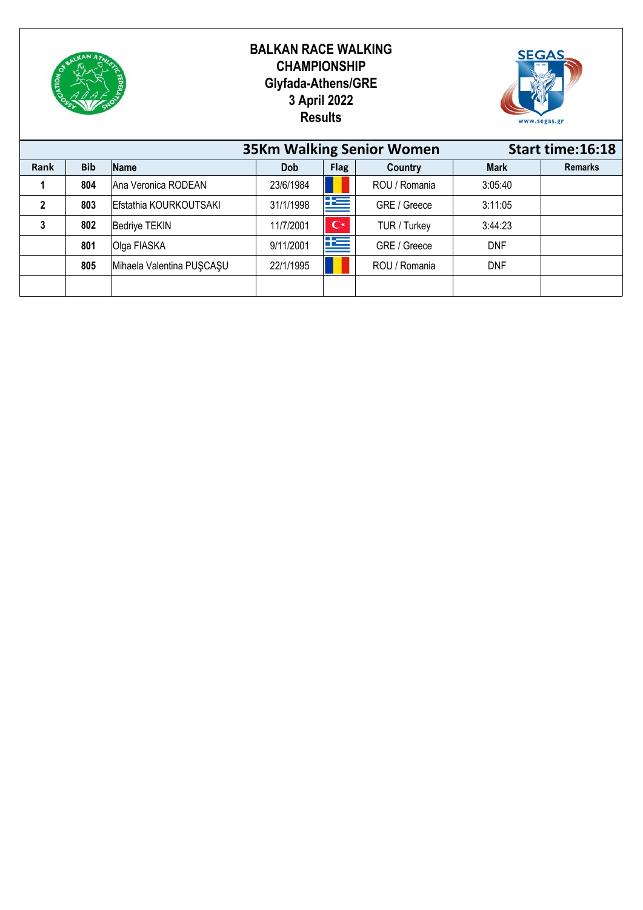



|      |            |                           |            | <b>35Km Walking Senior Women</b> |               | Start time:16:18 |                |  |  |  |
|------|------------|---------------------------|------------|----------------------------------|---------------|------------------|----------------|--|--|--|
| Rank | <b>Bib</b> | Name                      | <b>Dob</b> | <b>Flag</b>                      | Country       | <b>Mark</b>      | <b>Remarks</b> |  |  |  |
|      | 804        | Ana Veronica RODEAN       | 23/6/1984  |                                  | ROU / Romania | 3:05:40          |                |  |  |  |
| 2    | 803        | Efstathia KOURKOUTSAKI    | 31/1/1998  | Hæ                               | GRE / Greece  | 3:11:05          |                |  |  |  |
| 3    | 802        | Bedriye TEKIN             | 11/7/2001  | $\mathbb{C}^*$                   | TUR / Turkey  | 3:44:23          |                |  |  |  |
|      | 801        | Olga FIASKA               | 9/11/2001  | E                                | GRE / Greece  | <b>DNF</b>       |                |  |  |  |
|      | 805        | Mihaela Valentina PUSCASU | 22/1/1995  |                                  | ROU / Romania | <b>DNF</b>       |                |  |  |  |
|      |            |                           |            |                                  |               |                  |                |  |  |  |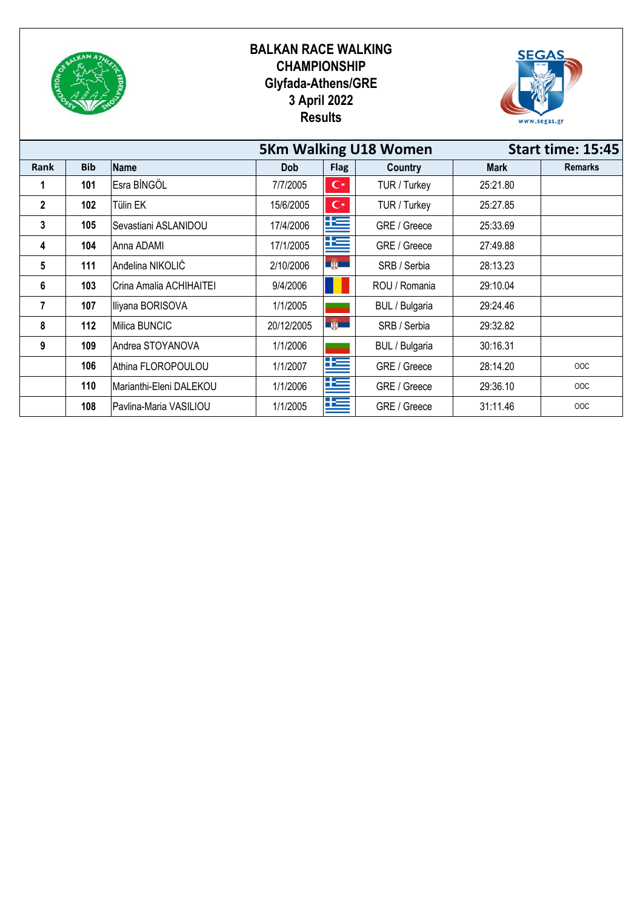



|                |            |                         |            | <b>5Km Walking U18 Women</b> |                | <b>Start time: 15:45</b> |                |  |  |  |
|----------------|------------|-------------------------|------------|------------------------------|----------------|--------------------------|----------------|--|--|--|
| <b>Rank</b>    | <b>Bib</b> | <b>Name</b>             | Dob        | <b>Flag</b>                  | Country        | <b>Mark</b>              | <b>Remarks</b> |  |  |  |
|                | 101        | Esra BİNGÖL             | 7/7/2005   | $\mathbb{C}^*$               | TUR / Turkey   | 25:21.80                 |                |  |  |  |
| $\overline{2}$ | 102        | Tülin EK                | 15/6/2005  | $C^*$                        | TUR / Turkey   | 25:27.85                 |                |  |  |  |
| 3              | 105        | Sevastiani ASLANIDOU    | 17/4/2006  | E                            | GRE / Greece   | 25:33.69                 |                |  |  |  |
| 4              | 104        | Anna ADAMI              | 17/1/2005  | H                            | GRE / Greece   | 27:49.88                 |                |  |  |  |
| 5              | 111        | Anđelina NIKOLIĆ        | 2/10/2006  |                              | SRB / Serbia   | 28:13.23                 |                |  |  |  |
| 6              | 103        | Crina Amalia ACHIHAITEI | 9/4/2006   |                              | ROU / Romania  | 29:10.04                 |                |  |  |  |
| $\overline{7}$ | 107        | Iliyana BORISOVA        | 1/1/2005   |                              | BUL / Bulgaria | 29:24.46                 |                |  |  |  |
| 8              | 112        | Milica BUNCIC           | 20/12/2005 |                              | SRB / Serbia   | 29:32.82                 |                |  |  |  |
| 9              | 109        | Andrea STOYANOVA        | 1/1/2006   |                              | BUL / Bulgaria | 30:16.31                 |                |  |  |  |
|                | 106        | Athina FLOROPOULOU      | 1/1/2007   | H                            | GRE / Greece   | 28:14.20                 | <b>OOC</b>     |  |  |  |
|                | 110        | Marianthi-Eleni DALEKOU | 1/1/2006   | H                            | GRE / Greece   | 29:36.10                 | <b>OOC</b>     |  |  |  |
|                | 108        | Pavlina-Maria VASILIOU  | 1/1/2005   | H                            | GRE / Greece   | 31:11.46                 | OOC            |  |  |  |